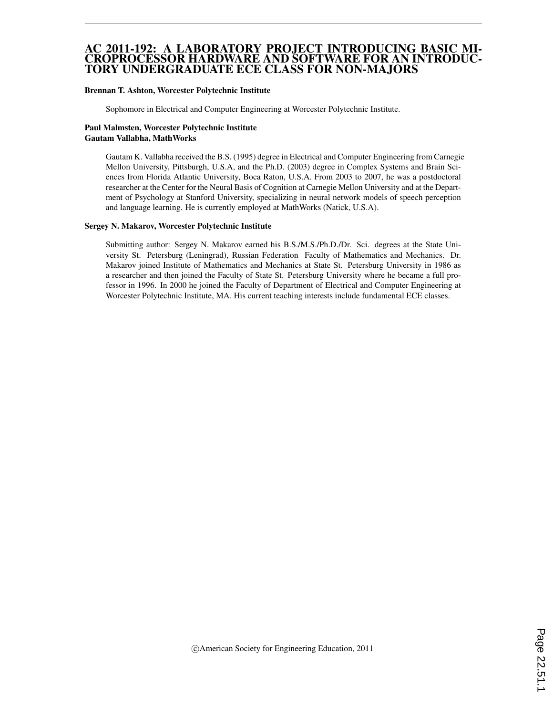#### AC 2011-192: A LABORATORY PROJECT INTRODUCING BASIC MI-CROPROCESSOR HARDWARE AND SOFTWARE FOR AN INTRODUC-TORY UNDERGRADUATE ECE CLASS FOR NON-MAJORS

#### Brennan T. Ashton, Worcester Polytechnic Institute

Sophomore in Electrical and Computer Engineering at Worcester Polytechnic Institute.

#### Paul Malmsten, Worcester Polytechnic Institute Gautam Vallabha, MathWorks

Gautam K. Vallabha received the B.S. (1995) degree in Electrical and Computer Engineering from Carnegie Mellon University, Pittsburgh, U.S.A, and the Ph.D. (2003) degree in Complex Systems and Brain Sciences from Florida Atlantic University, Boca Raton, U.S.A. From 2003 to 2007, he was a postdoctoral researcher at the Center for the Neural Basis of Cognition at Carnegie Mellon University and at the Department of Psychology at Stanford University, specializing in neural network models of speech perception and language learning. He is currently employed at MathWorks (Natick, U.S.A).

#### Sergey N. Makarov, Worcester Polytechnic Institute

Submitting author: Sergey N. Makarov earned his B.S./M.S./Ph.D./Dr. Sci. degrees at the State University St. Petersburg (Leningrad), Russian Federation Faculty of Mathematics and Mechanics. Dr. Makarov joined Institute of Mathematics and Mechanics at State St. Petersburg University in 1986 as a researcher and then joined the Faculty of State St. Petersburg University where he became a full professor in 1996. In 2000 he joined the Faculty of Department of Electrical and Computer Engineering at Worcester Polytechnic Institute, MA. His current teaching interests include fundamental ECE classes.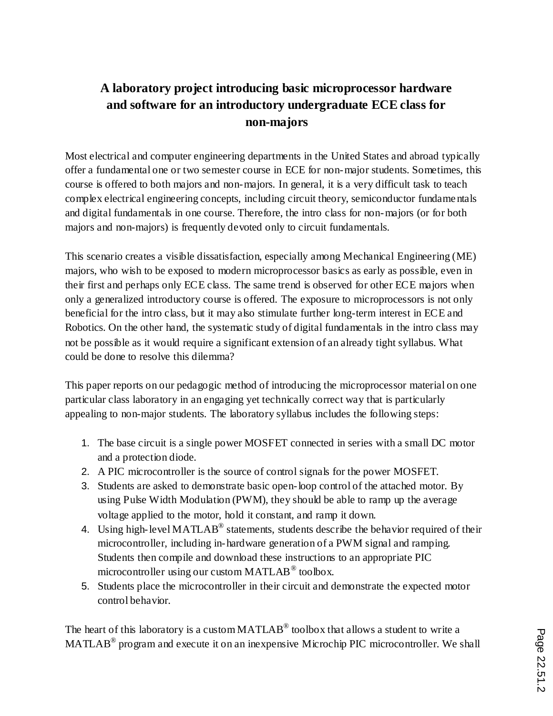# **A laboratory project introducing basic microprocessor hardware and software for an introductory undergraduate ECE class for non-majors**

Most electrical and computer engineering departments in the United States and abroad typically offer a fundamental one or two semester course in ECE for non-major students. Sometimes, this course is offered to both majors and non-majors. In general, it is a very difficult task to teach complex electrical engineering concepts, including circuit theory, semiconductor fundame ntals and digital fundamentals in one course. Therefore, the intro class for non-majors (or for both majors and non-majors) is frequently devoted only to circuit fundamentals.

This scenario creates a visible dissatisfaction, especially among Mechanical Engineering (ME) majors, who wish to be exposed to modern microprocessor basics as early as possible, even in their first and perhaps only ECE class. The same trend is observed for other ECE majors when only a generalized introductory course is offered. The exposure to microprocessors is not only beneficial for the intro class, but it may also stimulate further long-term interest in ECE and Robotics. On the other hand, the systematic study of digital fundamentals in the intro class may not be possible as it would require a significant extension of an already tight syllabus. What could be done to resolve this dilemma?

This paper reports on our pedagogic method of introducing the microprocessor material on one particular class laboratory in an engaging yet technically correct way that is particularly appealing to non-major students. The laboratory syllabus includes the following steps:

- 1. The base circuit is a single power MOSFET connected in series with a small DC motor and a protection diode.
- 2. A PIC microcontroller is the source of control signals for the power MOSFET.
- 3. Students are asked to demonstrate basic open-loop control of the attached motor. By using Pulse Width Modulation (PWM), they should be able to ramp up the average voltage applied to the motor, hold it constant, and ramp it down.
- 4. Using high-level MATLAB<sup>®</sup> statements, students describe the behavior required of their microcontroller, including in-hardware generation of a PWM signal and ramping. Students then compile and download these instructions to an appropriate PIC microcontroller using our custom MATLAB $^{\circledR}$  toolbox.
- 5. Students place the microcontroller in their circuit and demonstrate the expected motor control behavior.

The heart of this laboratory is a custom MATLAB<sup>®</sup> toolbox that allows a student to write a MATLAB<sup>®</sup> program and execute it on an inexpensive Microchip PIC microcontroller. We shall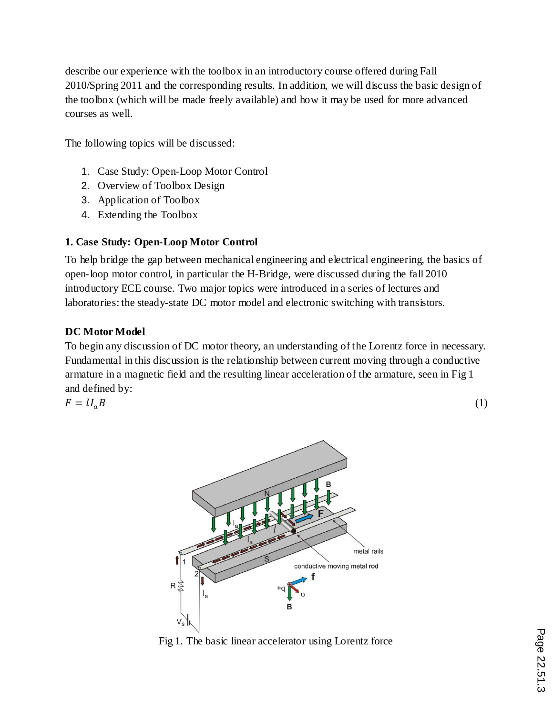describe our experience with the toolbox in an introductory course offered during Fall 2010/Spring 2011 and the corresponding results. In addition, we will discuss the basic design of the toolbox (which will be made freely available) and how it may be used for more advanced courses as well.

The following topics will be discussed:

- 1. Case Study: Open-Loop Motor Control
- 2. Overview of Toolbox Design
- 3. Application of Toolbox
- 4. Extending the Toolbox

# **1. Case Study: Open-Loop Motor Control**

To help bridge the gap between mechanical engineering and electrical engineering, the basics of open-loop motor control, in particular the H-Bridge, were discussed during the fall 2010 introductory ECE course. Two major topics were introduced in a series of lectures and laboratories: the steady-state DC motor model and electronic switching with transistors.

## **DC Motor Model**

To begin any discussion of DC motor theory, an understanding of the Lorentz force in necessary. Fundamental in this discussion is the relationship between current moving through a conductive armature in a magnetic field and the resulting linear acceleration of the armature, seen in Fig 1 and defined by:

$$
F = l l_a B \tag{1}
$$



Fig 1. The basic linear accelerator using Lorentz force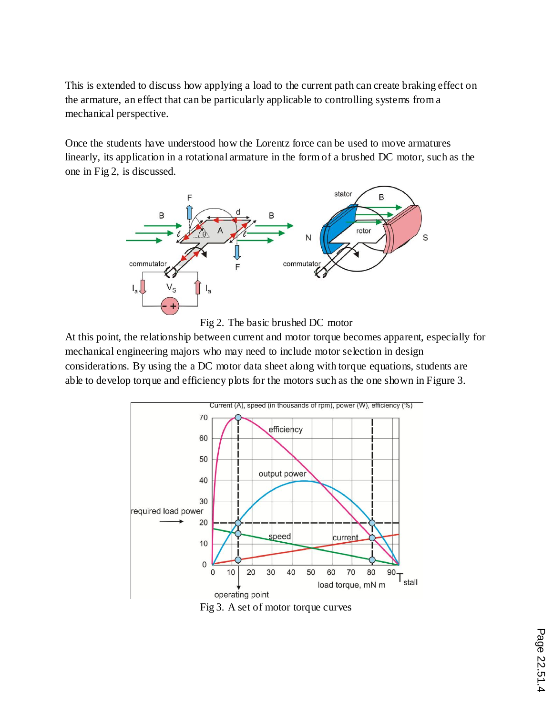This is extended to discuss how applying a load to the current path can create braking effect on the armature, an effect that can be particularly applicable to controlling systems from a mechanical perspective.

Once the students have understood how the Lorentz force can be used to move armatures linearly, its application in a rotational armature in the form of a brushed DC motor, such as the one in Fig 2, is discussed.





At this point, the relationship between current and motor torque becomes apparent, especially for mechanical engineering majors who may need to include motor selection in design considerations. By using the a DC motor data sheet along with torque equations, students are able to develop torque and efficiency plots for the motors such as the one shown in Figure 3.



Fig 3. A set of motor torque curves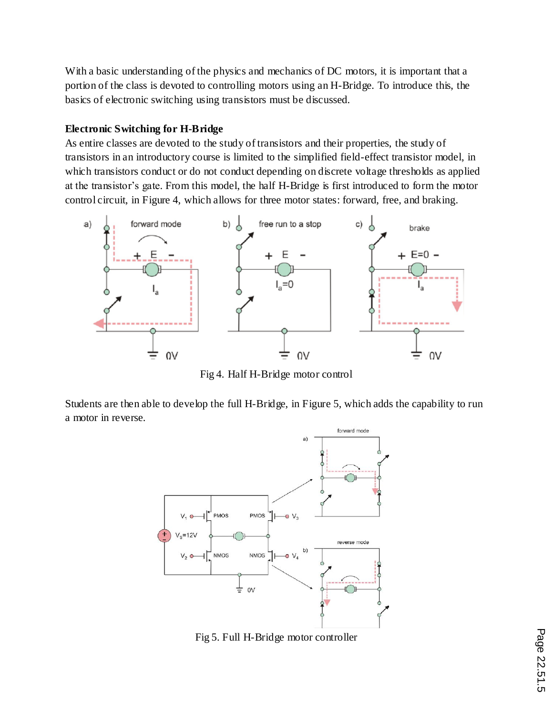With a basic understanding of the physics and mechanics of DC motors, it is important that a portion of the class is devoted to controlling motors using an H-Bridge. To introduce this, the basics of electronic switching using transistors must be discussed.

### **Electronic Switching for H-Bridge**

As entire classes are devoted to the study of transistors and their properties, the study of transistors in an introductory course is limited to the simplified field-effect transistor model, in which transistors conduct or do not conduct depending on discrete voltage thresholds as applied at the transistor's gate. From this model, the half H-Bridge is first introduced to form the motor control circuit, in Figure 4, which allows for three motor states: forward, free, and braking.



Fig 4. Half H-Bridge motor control

Students are then able to develop the full H-Bridge, in Figure 5, which adds the capability to run a motor in reverse.



Fig 5. Full H-Bridge motor controller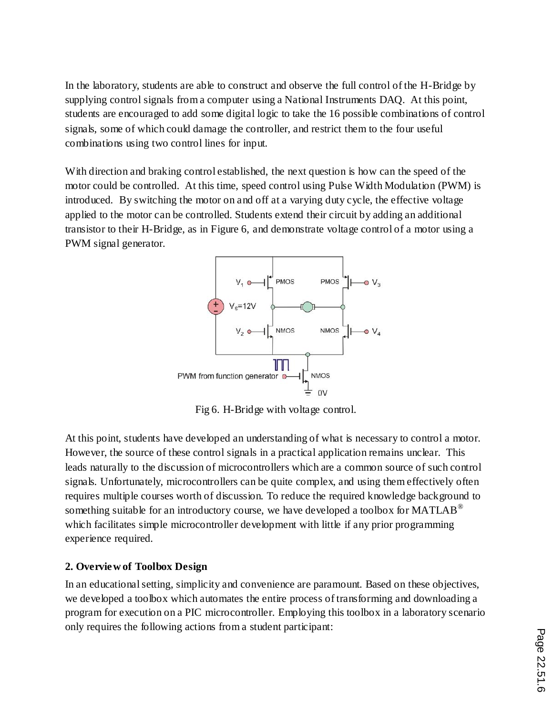In the laboratory, students are able to construct and observe the full control of the H-Bridge by supplying control signals from a computer using a National Instruments DAQ. At this point, students are encouraged to add some digital logic to take the 16 possible combinations of control signals, some of which could damage the controller, and restrict them to the four useful combinations using two control lines for input.

With direction and braking control established, the next question is how can the speed of the motor could be controlled. At this time, speed control using Pulse Width Modulation (PWM) is introduced. By switching the motor on and off at a varying duty cycle, the effective voltage applied to the motor can be controlled. Students extend their circuit by adding an additional transistor to their H-Bridge, as in Figure 6, and demonstrate voltage control of a motor using a PWM signal generator.



Fig 6. H-Bridge with voltage control.

At this point, students have developed an understanding of what is necessary to control a motor. However, the source of these control signals in a practical application remains unclear. This leads naturally to the discussion of microcontrollers which are a common source of such control signals. Unfortunately, microcontrollers can be quite complex, and using them effectively often requires multiple courses worth of discussion. To reduce the required knowledge background to something suitable for an introductory course, we have developed a toolbox for  $MATLAB^{\circledast}$ which facilitates simple microcontroller development with little if any prior programming experience required.

# **2. Overview of Toolbox Design**

In an educational setting, simplicity and convenience are paramount. Based on these objectives, we developed a toolbox which automates the entire process of transforming and downloading a program for execution on a PIC microcontroller. Employing this toolbox in a laboratory scenario only requires the following actions from a student participant: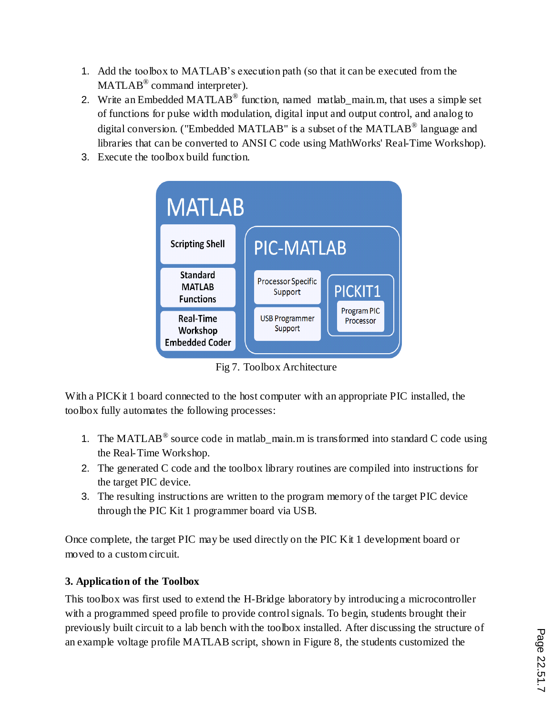- 1. Add the toolbox to MATLAB's execution path (so that it can be executed from the  $\text{MATLAB}^{\circledR}$  command interpreter).
- 2. Write an Embedded MATLAB<sup>®</sup> function, named matlab\_main.m, that uses a simple set of functions for pulse width modulation, digital input and output control, and analog to digital conversion. ("Embedded MATLAB" is a subset of the MATLAB $^{\circledR}$  language and libraries that can be converted to ANSI C code using MathWorks' Real-Time Workshop).
- 3. Execute the toolbox build function.



Fig 7. Toolbox Architecture

With a PICKit 1 board connected to the host computer with an appropriate PIC installed, the toolbox fully automates the following processes:

- 1. The MATLAB<sup>®</sup> source code in matlab\_main.m is transformed into standard C code using the Real-Time Workshop.
- 2. The generated C code and the toolbox library routines are compiled into instructions for the target PIC device.
- 3. The resulting instructions are written to the program memory of the target PIC device through the PIC Kit 1 programmer board via USB.

Once complete, the target PIC may be used directly on the PIC Kit 1 development board or moved to a custom circuit.

# **3. Application of the Toolbox**

This toolbox was first used to extend the H-Bridge laboratory by introducing a microcontroller with a programmed speed profile to provide control signals. To begin, students brought their previously built circuit to a lab bench with the toolbox installed. After discussing the structure of an example voltage profile MATLAB script, shown in Figure 8, the students customized the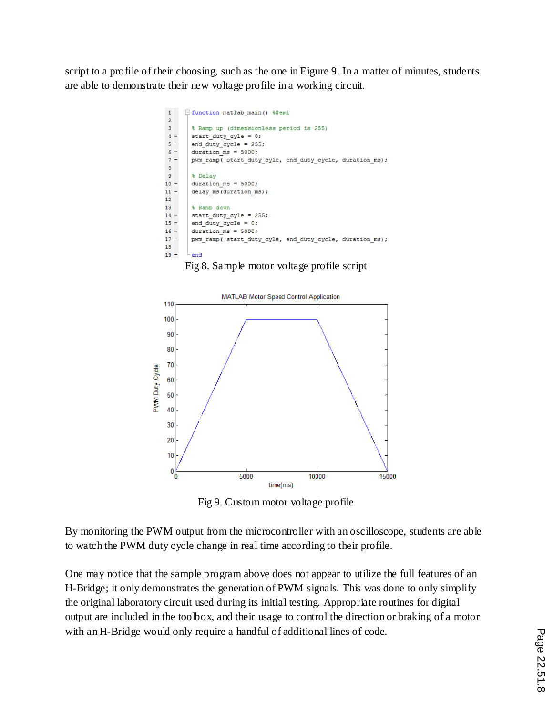script to a profile of their choosing, such as the one in Figure 9. In a matter of minutes, students are able to demonstrate their new voltage profile in a working circuit.



Fig 8. Sample motor voltage profile script



Fig 9. Custom motor voltage profile

By monitoring the PWM output from the microcontroller with an oscilloscope, students are able to watch the PWM duty cycle change in real time according to their profile.

One may notice that the sample program above does not appear to utilize the full features of an H-Bridge; it only demonstrates the generation of PWM signals. This was done to only simplify the original laboratory circuit used during its initial testing. Appropriate routines for digital output are included in the toolbox, and their usage to control the direction or braking of a motor with an H-Bridge would only require a handful of additional lines of code.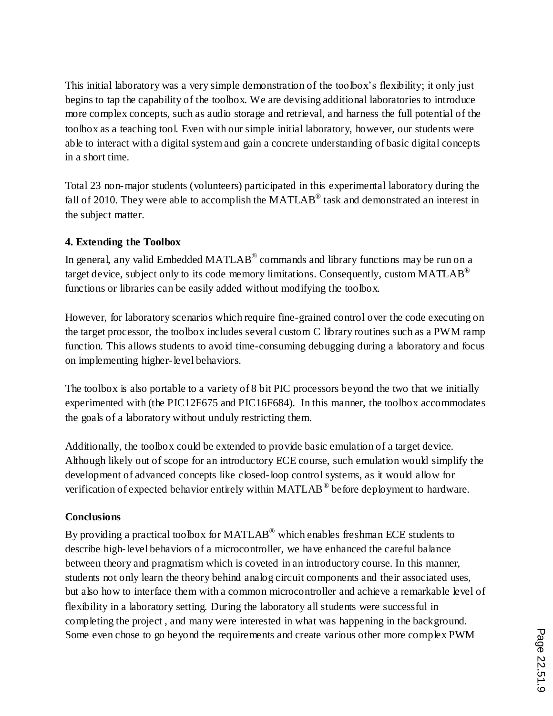This initial laboratory was a very simple demonstration of the toolbox's flexibility; it only just begins to tap the capability of the toolbox. We are devising additional laboratories to introduce more complex concepts, such as audio storage and retrieval, and harness the full potential of the toolbox as a teaching tool. Even with our simple initial laboratory, however, our students were able to interact with a digital system and gain a concrete understanding of basic digital concepts in a short time.

Total 23 non-major students (volunteers) participated in this experimental laboratory during the fall of 2010. They were able to accomplish the MATLAB<sup>®</sup> task and demonstrated an interest in the subject matter.

### **4. Extending the Toolbox**

In general, any valid Embedded MATLAB® commands and library functions may be run on a target device, subject only to its code memory limitations. Consequently, custom MATLAB<sup>®</sup> functions or libraries can be easily added without modifying the toolbox.

However, for laboratory scenarios which require fine-grained control over the code executing on the target processor, the toolbox includes several custom C library routines such as a PWM ramp function. This allows students to avoid time-consuming debugging during a laboratory and focus on implementing higher-level behaviors.

The toolbox is also portable to a variety of 8 bit PIC processors beyond the two that we initially experimented with (the PIC12F675 and PIC16F684). In this manner, the toolbox accommodates the goals of a laboratory without unduly restricting them.

Additionally, the toolbox could be extended to provide basic emulation of a target device. Although likely out of scope for an introductory ECE course, such emulation would simplify the development of advanced concepts like closed-loop control systems, as it would allow for verification of expected behavior entirely within MATLAB<sup>®</sup> before deployment to hardware.

### **Conclusions**

By providing a practical toolbox for MATLAB<sup>®</sup> which enables freshman ECE students to describe high-level behaviors of a microcontroller, we have enhanced the careful balance between theory and pragmatism which is coveted in an introductory course. In this manner, students not only learn the theory behind analog circuit components and their associated uses, but also how to interface them with a common microcontroller and achieve a remarkable level of flexibility in a laboratory setting. During the laboratory all students were successful in completing the project , and many were interested in what was happening in the background. Some even chose to go beyond the requirements and create various other more complex PWM